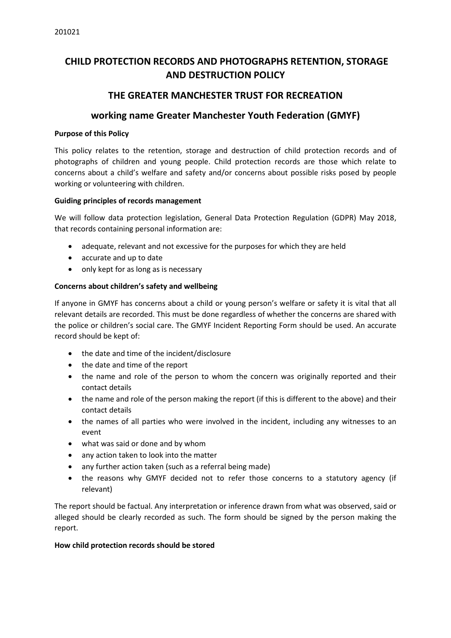# **CHILD PROTECTION RECORDS AND PHOTOGRAPHS RETENTION, STORAGE AND DESTRUCTION POLICY**

## **THE GREATER MANCHESTER TRUST FOR RECREATION**

### **working name Greater Manchester Youth Federation (GMYF)**

#### **Purpose of this Policy**

This policy relates to the retention, storage and destruction of child protection records and of photographs of children and young people. Child protection records are those which relate to concerns about a child's welfare and safety and/or concerns about possible risks posed by people working or volunteering with children.

#### **Guiding principles of records management**

We will follow data protection legislation, General Data Protection Regulation (GDPR) May 2018, that records containing personal information are:

- adequate, relevant and not excessive for the purposes for which they are held
- accurate and up to date
- only kept for as long as is necessary

### **Concerns about children's safety and wellbeing**

If anyone in GMYF has concerns about a child or young person's welfare or safety it is vital that all relevant details are recorded. This must be done regardless of whether the concerns are shared with the police or children's social care. The GMYF Incident Reporting Form should be used. An accurate record should be kept of:

- the date and time of the incident/disclosure
- the date and time of the report
- the name and role of the person to whom the concern was originally reported and their contact details
- the name and role of the person making the report (if this is different to the above) and their contact details
- the names of all parties who were involved in the incident, including any witnesses to an event
- what was said or done and by whom
- any action taken to look into the matter
- any further action taken (such as a referral being made)
- the reasons why GMYF decided not to refer those concerns to a statutory agency (if relevant)

The report should be factual. Any interpretation or inference drawn from what was observed, said or alleged should be clearly recorded as such. The form should be signed by the person making the report.

#### **How child protection records should be stored**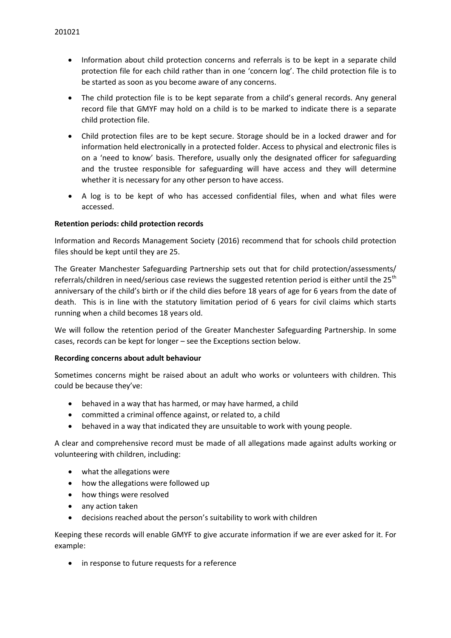- Information about child protection concerns and referrals is to be kept in a separate child protection file for each child rather than in one 'concern log'. The child protection file is to be started as soon as you become aware of any concerns.
- The child protection file is to be kept separate from a child's general records. Any general record file that GMYF may hold on a child is to be marked to indicate there is a separate child protection file.
- Child protection files are to be kept secure. Storage should be in a locked drawer and for information held electronically in a protected folder. Access to physical and electronic files is on a 'need to know' basis. Therefore, usually only the designated officer for safeguarding and the trustee responsible for safeguarding will have access and they will determine whether it is necessary for any other person to have access.
- A log is to be kept of who has accessed confidential files, when and what files were accessed.

#### **Retention periods: child protection records**

Information and Records Management Society (2016) recommend that for schools child protection files should be kept until they are 25.

The Greater Manchester Safeguarding Partnership sets out that for child protection/assessments/ referrals/children in need/serious case reviews the suggested retention period is either until the 25<sup>th</sup> anniversary of the child's birth or if the child dies before 18 years of age for 6 years from the date of death. This is in line with the statutory limitation period of 6 years for civil claims which starts running when a child becomes 18 years old.

We will follow the retention period of the Greater Manchester Safeguarding Partnership. In some cases, records can be kept for longer – see the Exceptions section below.

#### **Recording concerns about adult behaviour**

Sometimes concerns might be raised about an adult who works or volunteers with children. This could be because they've:

- behaved in a way that has harmed, or may have harmed, a child
- committed a criminal offence against, or related to, a child
- behaved in a way that indicated they are unsuitable to work with young people.

A clear and comprehensive record must be made of all allegations made against adults working or volunteering with children, including:

- what the allegations were
- how the allegations were followed up
- how things were resolved
- any action taken
- decisions reached about the person's suitability to work with children

Keeping these records will enable GMYF to give accurate information if we are ever asked for it. For example:

• in response to future requests for a reference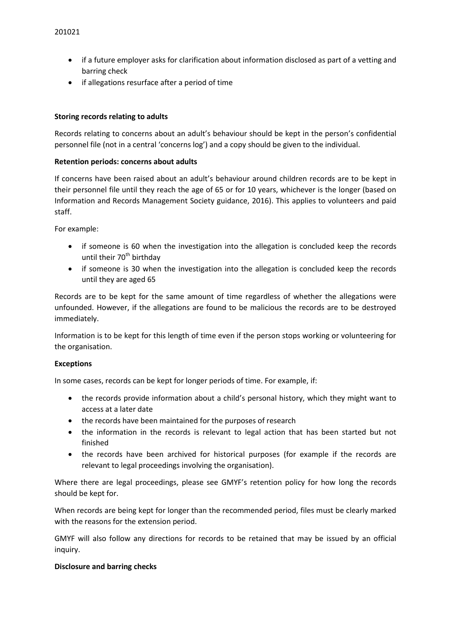- if a future employer asks for clarification about information disclosed as part of a vetting and barring check
- if allegations resurface after a period of time

#### **Storing records relating to adults**

Records relating to concerns about an adult's behaviour should be kept in the person's confidential personnel file (not in a central 'concerns log') and a copy should be given to the individual.

#### **Retention periods: concerns about adults**

If concerns have been raised about an adult's behaviour around children records are to be kept in their personnel file until they reach the age of 65 or for 10 years, whichever is the longer (based on Information and Records Management Society guidance, 2016). This applies to volunteers and paid staff.

For example:

- if someone is 60 when the investigation into the allegation is concluded keep the records until their 70<sup>th</sup> birthday
- if someone is 30 when the investigation into the allegation is concluded keep the records until they are aged 65

Records are to be kept for the same amount of time regardless of whether the allegations were unfounded. However, if the allegations are found to be malicious the records are to be destroyed immediately.

Information is to be kept for this length of time even if the person stops working or volunteering for the organisation.

#### **Exceptions**

In some cases, records can be kept for longer periods of time. For example, if:

- the records provide information about a child's personal history, which they might want to access at a later date
- the records have been maintained for the purposes of research
- the information in the records is relevant to legal action that has been started but not finished
- the records have been archived for historical purposes (for example if the records are relevant to legal proceedings involving the organisation).

Where there are legal proceedings, please see GMYF's retention policy for how long the records should be kept for.

When records are being kept for longer than the recommended period, files must be clearly marked with the reasons for the extension period.

GMYF will also follow any directions for records to be retained that may be issued by an official inquiry.

#### **Disclosure and barring checks**